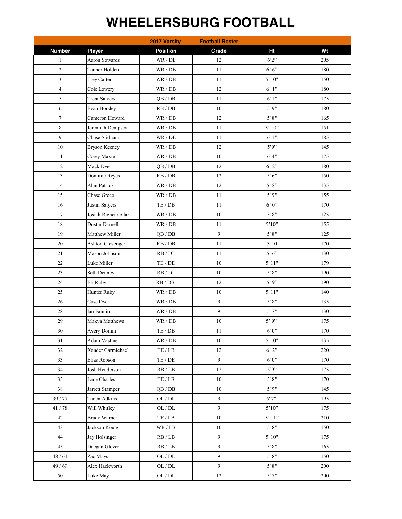## **WHEELERSBURG FOOTBALL**

|                  |                         | 2017 Varsity                      | <b>Football Roster</b> |                               |         |
|------------------|-------------------------|-----------------------------------|------------------------|-------------------------------|---------|
| <b>Number</b>    | <b>Player</b>           | <b>Position</b>                   | Grade                  | Ht                            | Wt      |
| $\mathbf{1}$     | <b>Aaron Sowards</b>    | WR / DE                           | 12                     | 6'2''                         | 205     |
| $\mathfrak{2}$   | Tanner Holden           | WR / DB                           | 11                     | $6'6'$                        | 180     |
| $\mathfrak{Z}$   | Trey Carter             | WR / DB                           | 11                     | 5'10"                         | 150     |
| 4                | Cole Lowery             | WR / DB                           | 12                     | 6'1"                          | 180     |
| 5                | <b>Trent Salyers</b>    | QB/DB                             | 11                     | 6'1"                          | 175     |
| 6                | Evan Horsley            | RB / DB                           | $10\,$                 | 5'9''                         | 180     |
| $\boldsymbol{7}$ | Cameron Howard          | WR / DB                           | $12\,$                 | $5'$ $8"$                     | 165     |
| 8                | Jeremiah Dempsey        | WR / DB                           | $11\,$                 | 5' 10"                        | 151     |
| 9                | Chase Stidham           | WR / DE                           | $11\,$                 | 6'1"                          | 185     |
| 10               | <b>Bryson Keeney</b>    | WR / DB                           | 12                     | 5'9''                         | 145     |
| 11               | Corey Maxie             | WR / DB                           | $10\,$                 | 6' 4"                         | 175     |
| 12               | Mack Dyer               | QB/DB                             | $12\,$                 | 6'2"                          | 180     |
| 13               | Dominic Reyes           | RB / DB                           | 12                     | $5'6"$                        | 150     |
| 14               | Alan Patrick            | WR / DB                           | 12                     | $5$ ' $8$ ''                  | 135     |
| 15               | Chase Greco             | WR / DB                           | 11                     | 5'9''                         | 155     |
| 16               | Justin Salyers          | TE/DB                             | 11                     | $6'$ 0"                       | 170     |
| 17               | Josiah Richendollar     | WR / DB                           | 10                     | 5' 8''                        | 125     |
| 18               | Dustin Darnell          | WR / DB                           | 11                     | $5'10"$                       | 155     |
| 19               | Matthew Miller          | QB/DB                             | $\overline{9}$         | 5' 8''                        | 125     |
| $20\,$           | <b>Ashton Clevenger</b> | RB / DB                           | $11\,$                 | $5^\circ\,10$                 | 170     |
| 21               | Mason Johnson           | RB / DL                           | 11                     | $5$ $^{\circ}$ $6$ $^{\circ}$ | 130     |
| 22               | Luke Miller             | TE/DE                             | $10\,$                 | 5'11"                         | 179     |
| 23               | Seth Denney             | $\mathsf{RB} \, / \, \mathsf{DL}$ | $10\,$                 | $5'$ $8"$                     | 190     |
| 24               | Eli Ruby                | RB/DB                             | 12                     | $5'$ 9"                       | 190     |
| 25               | Hunter Ruby             | WR / DB                           | $10\,$                 | 5'11"                         | 140     |
| 26               | Case Dyer               | WR / DB                           | 9                      | $5'$ $8"$                     | 135     |
| 28               | Ian Fannin              | WR / DB                           | 9                      | 5'7''                         | 130     |
| 29               | Makya Matthews          | WR / DB                           | 10                     | 5'9'                          | 175     |
| 30               | Avery Donini            | $\mathrm{TE}$ / $\mathrm{DB}$     | 11                     | 6'0''                         | 170     |
| 31               | Adam Vastine            | WR / DB                           | 10                     | 5'10"                         | 135     |
| 32               | Xander Carmichael       | $\mathrm{TE}$ / $\mathrm{LB}$     | $12\,$                 | 6'2''                         | 220     |
| 33               | Elias Robson            | $\mathrm{TE}$ / $\mathrm{DE}$     | $\overline{9}$         | 6'0''                         | 170     |
| 34               | Josh Henderson          | $\mathbf{RB}$ / $\mathbf{LB}$     | 12                     | 5'9''                         | 175     |
| 35               | Lane Charles            | $\mathrm{TE}$ / $\mathrm{LB}$     | $10\,$                 | 5' 8''                        | 170     |
| $3\,8$           | Jarrett Stamper         | QB/DB                             | $10\,$                 | 5'9''                         | 145     |
| 39 / 77          | <b>Taden Adkins</b>     | $\mathrm{OL}$ / $\mathrm{DL}$     | 9                      | 5'7"                          | 195     |
| 41 / 78          | Will Whitley            | $OL/DL$                           | 9                      | $5'10"$                       | 175     |
| 42               | <b>Brady Warner</b>     | $\mathrm{TE}$ / $\mathrm{LB}$     | $10\,$                 | 5'11"                         | 210     |
| 43               | Jackson Kouns           | WR / LB                           | 10                     | $5'$ $8"$                     | 150     |
| 44               | Jay Holsinger           | RB / LB                           | 9                      | 5'10"                         | 175     |
| 45               | Daegan Glover           | RB / LB                           | 9                      | 5' 8''                        | 165     |
| $48/61$          | Zac Mays                | OL / DL                           | 9                      | $5'$ $8"$                     | 150     |
| 49 / 69          | Alex Hackworth          | OL / DL                           | $\overline{9}$         | 5' 8''                        | 200     |
| $50\,$           | Luke May                | OL / DL                           | $12\,$                 | 5'7"                          | $200\,$ |